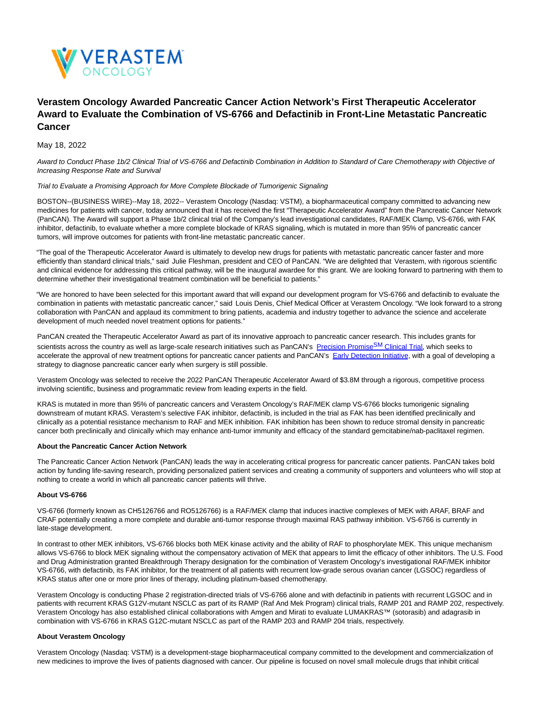

# **Verastem Oncology Awarded Pancreatic Cancer Action Network's First Therapeutic Accelerator Award to Evaluate the Combination of VS-6766 and Defactinib in Front-Line Metastatic Pancreatic Cancer**

May 18, 2022

Award to Conduct Phase 1b/2 Clinical Trial of VS-6766 and Defactinib Combination in Addition to Standard of Care Chemotherapy with Objective of Increasing Response Rate and Survival

### Trial to Evaluate a Promising Approach for More Complete Blockade of Tumorigenic Signaling

BOSTON--(BUSINESS WIRE)--May 18, 2022-- Verastem Oncology (Nasdaq: VSTM), a biopharmaceutical company committed to advancing new medicines for patients with cancer, today announced that it has received the first "Therapeutic Accelerator Award" from the Pancreatic Cancer Network (PanCAN). The Award will support a Phase 1b/2 clinical trial of the Company's lead investigational candidates, RAF/MEK Clamp, VS-6766, with FAK inhibitor, defactinib, to evaluate whether a more complete blockade of KRAS signaling, which is mutated in more than 95% of pancreatic cancer tumors, will improve outcomes for patients with front-line metastatic pancreatic cancer.

"The goal of the Therapeutic Accelerator Award is ultimately to develop new drugs for patients with metastatic pancreatic cancer faster and more efficiently than standard clinical trials," said Julie Fleshman, president and CEO of PanCAN. "We are delighted that Verastem, with rigorous scientific and clinical evidence for addressing this critical pathway, will be the inaugural awardee for this grant. We are looking forward to partnering with them to determine whether their investigational treatment combination will be beneficial to patients."

"We are honored to have been selected for this important award that will expand our development program for VS-6766 and defactinib to evaluate the combination in patients with metastatic pancreatic cancer," said Louis Denis, Chief Medical Officer at Verastem Oncology. "We look forward to a strong collaboration with PanCAN and applaud its commitment to bring patients, academia and industry together to advance the science and accelerate development of much needed novel treatment options for patients."

PanCAN created the Therapeutic Accelerator Award as part of its innovative approach to pancreatic cancer research. This includes grants for scientists across the country as well as large-scale research initiatives such as PanCAN's [Precision Promise](https://cts.businesswire.com/ct/CT?id=smartlink&url=https%3A%2F%2Fwww.pancan.org%2Fresearch%2Fprecision-promise%2F&esheet=52722330&newsitemid=20220518005118&lan=en-US&anchor=Precision+PromiseSM+Clinical+Trial&index=1&md5=ebe9d4b0b65aa40176aa7e4df67be352)SM Clinical Trial, which seeks to accelerate the approval of new treatment options for pancreatic cancer patients and PanCAN's [Early Detection Initiative,](https://cts.businesswire.com/ct/CT?id=smartlink&url=https%3A%2F%2Fwww.pancan.org%2Fresearch%2Fearly-detection-initiative%2F&esheet=52722330&newsitemid=20220518005118&lan=en-US&anchor=Early+Detection+Initiative&index=2&md5=b47130ced69e45a9ba33b71039c5504a) with a goal of developing a strategy to diagnose pancreatic cancer early when surgery is still possible.

Verastem Oncology was selected to receive the 2022 PanCAN Therapeutic Accelerator Award of \$3.8M through a rigorous, competitive process involving scientific, business and programmatic review from leading experts in the field.

KRAS is mutated in more than 95% of pancreatic cancers and Verastem Oncology's RAF/MEK clamp VS-6766 blocks tumorigenic signaling downstream of mutant KRAS. Verastem's selective FAK inhibitor, defactinib, is included in the trial as FAK has been identified preclinically and clinically as a potential resistance mechanism to RAF and MEK inhibition. FAK inhibition has been shown to reduce stromal density in pancreatic cancer both preclinically and clinically which may enhance anti-tumor immunity and efficacy of the standard gemcitabine/nab-paclitaxel regimen.

#### **About the Pancreatic Cancer Action Network**

The Pancreatic Cancer Action Network (PanCAN) leads the way in accelerating critical progress for pancreatic cancer patients. PanCAN takes bold action by funding life-saving research, providing personalized patient services and creating a community of supporters and volunteers who will stop at nothing to create a world in which all pancreatic cancer patients will thrive.

# **About VS-6766**

VS-6766 (formerly known as CH5126766 and RO5126766) is a RAF/MEK clamp that induces inactive complexes of MEK with ARAF, BRAF and CRAF potentially creating a more complete and durable anti-tumor response through maximal RAS pathway inhibition. VS-6766 is currently in late-stage development.

In contrast to other MEK inhibitors, VS-6766 blocks both MEK kinase activity and the ability of RAF to phosphorylate MEK. This unique mechanism allows VS-6766 to block MEK signaling without the compensatory activation of MEK that appears to limit the efficacy of other inhibitors. The U.S. Food and Drug Administration granted Breakthrough Therapy designation for the combination of Verastem Oncology's investigational RAF/MEK inhibitor VS-6766, with defactinib, its FAK inhibitor, for the treatment of all patients with recurrent low-grade serous ovarian cancer (LGSOC) regardless of KRAS status after one or more prior lines of therapy, including platinum-based chemotherapy.

Verastem Oncology is conducting Phase 2 registration-directed trials of VS-6766 alone and with defactinib in patients with recurrent LGSOC and in patients with recurrent KRAS G12V-mutant NSCLC as part of its RAMP (Raf And Mek Program) clinical trials, RAMP 201 and RAMP 202, respectively. Verastem Oncology has also established clinical collaborations with Amgen and Mirati to evaluate LUMAKRAS™ (sotorasib) and adagrasib in combination with VS-6766 in KRAS G12C-mutant NSCLC as part of the RAMP 203 and RAMP 204 trials, respectively.

## **About Verastem Oncology**

Verastem Oncology (Nasdaq: VSTM) is a development-stage biopharmaceutical company committed to the development and commercialization of new medicines to improve the lives of patients diagnosed with cancer. Our pipeline is focused on novel small molecule drugs that inhibit critical